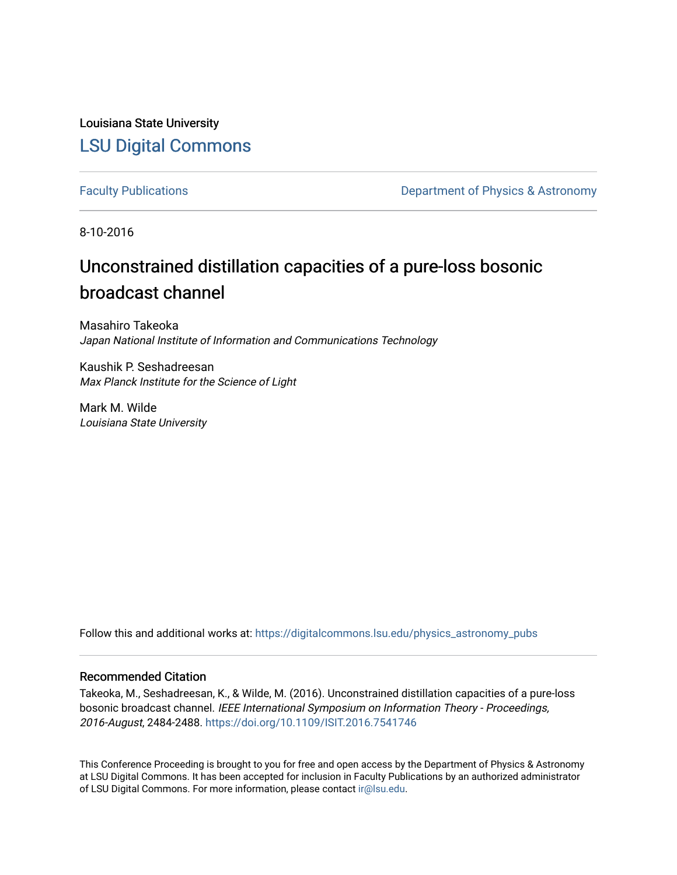Louisiana State University [LSU Digital Commons](https://digitalcommons.lsu.edu/)

[Faculty Publications](https://digitalcommons.lsu.edu/physics_astronomy_pubs) **Exercise 2 and Table 2 and Table 2 and Table 2 and Table 2 and Table 2 and Table 2 and Table 2 and Table 2 and Table 2 and Table 2 and Table 2 and Table 2 and Table 2 and Table 2 and Table 2 and Table** 

8-10-2016

## Unconstrained distillation capacities of a pure-loss bosonic broadcast channel

Masahiro Takeoka Japan National Institute of Information and Communications Technology

Kaushik P. Seshadreesan Max Planck Institute for the Science of Light

Mark M. Wilde Louisiana State University

Follow this and additional works at: [https://digitalcommons.lsu.edu/physics\\_astronomy\\_pubs](https://digitalcommons.lsu.edu/physics_astronomy_pubs?utm_source=digitalcommons.lsu.edu%2Fphysics_astronomy_pubs%2F5665&utm_medium=PDF&utm_campaign=PDFCoverPages) 

### Recommended Citation

Takeoka, M., Seshadreesan, K., & Wilde, M. (2016). Unconstrained distillation capacities of a pure-loss bosonic broadcast channel. IEEE International Symposium on Information Theory - Proceedings, 2016-August, 2484-2488. <https://doi.org/10.1109/ISIT.2016.7541746>

This Conference Proceeding is brought to you for free and open access by the Department of Physics & Astronomy at LSU Digital Commons. It has been accepted for inclusion in Faculty Publications by an authorized administrator of LSU Digital Commons. For more information, please contact [ir@lsu.edu](mailto:ir@lsu.edu).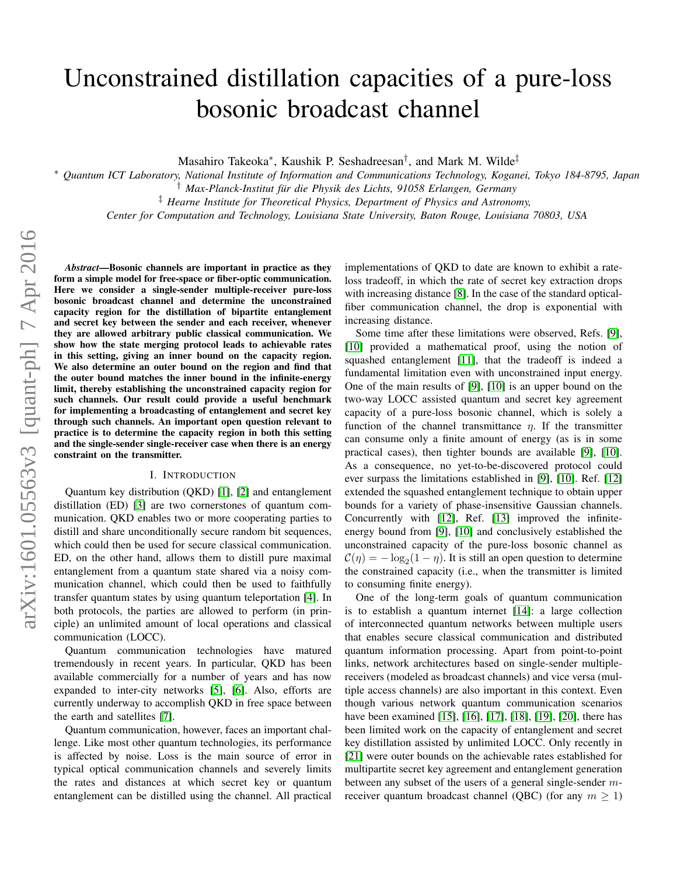# Unconstrained distillation capacities of a pure-loss bosonic broadcast channel

Masahiro Takeoka\*, Kaushik P. Seshadreesan<sup>†</sup>, and Mark M. Wilde<sup>‡</sup>

<sup>∗</sup> *Quantum ICT Laboratory, National Institute of Information and Communications Technology, Koganei, Tokyo 184-8795, Japan* † *Max-Planck-Institut fur die Physik des Lichts, 91058 Erlangen, Germany ¨*

‡ *Hearne Institute for Theoretical Physics, Department of Physics and Astronomy,*

*Center for Computation and Technology, Louisiana State University, Baton Rouge, Louisiana 70803, USA*

*Abstract*—Bosonic channels are important in practice as they form a simple model for free-space or fiber-optic communication. Here we consider a single-sender multiple-receiver pure-loss bosonic broadcast channel and determine the unconstrained capacity region for the distillation of bipartite entanglement and secret key between the sender and each receiver, whenever they are allowed arbitrary public classical communication. We show how the state merging protocol leads to achievable rates in this setting, giving an inner bound on the capacity region. We also determine an outer bound on the region and find that the outer bound matches the inner bound in the infinite-energy limit, thereby establishing the unconstrained capacity region for such channels. Our result could provide a useful benchmark for implementing a broadcasting of entanglement and secret key through such channels. An important open question relevant to practice is to determine the capacity region in both this setting and the single-sender single-receiver case when there is an energy constraint on the transmitter.

#### I. INTRODUCTION

<span id="page-1-0"></span>Quantum key distribution (QKD) [\[1\]](#page-5-0), [\[2\]](#page-5-1) and entanglement distillation (ED) [\[3\]](#page-5-2) are two cornerstones of quantum communication. QKD enables two or more cooperating parties to distill and share unconditionally secure random bit sequences, which could then be used for secure classical communication. ED, on the other hand, allows them to distill pure maximal entanglement from a quantum state shared via a noisy communication channel, which could then be used to faithfully transfer quantum states by using quantum teleportation [\[4\]](#page-5-3). In both protocols, the parties are allowed to perform (in principle) an unlimited amount of local operations and classical communication (LOCC).

Quantum communication technologies have matured tremendously in recent years. In particular, QKD has been available commercially for a number of years and has now expanded to inter-city networks [\[5\]](#page-5-4), [\[6\]](#page-5-5). Also, efforts are currently underway to accomplish QKD in free space between the earth and satellites [\[7\]](#page-5-6).

Quantum communication, however, faces an important challenge. Like most other quantum technologies, its performance is affected by noise. Loss is the main source of error in typical optical communication channels and severely limits the rates and distances at which secret key or quantum entanglement can be distilled using the channel. All practical implementations of QKD to date are known to exhibit a rateloss tradeoff, in which the rate of secret key extraction drops with increasing distance [\[8\]](#page-5-7). In the case of the standard opticalfiber communication channel, the drop is exponential with increasing distance.

Some time after these limitations were observed, Refs. [\[9\]](#page-5-8), [\[10\]](#page-5-9) provided a mathematical proof, using the notion of squashed entanglement [\[11\]](#page-5-10), that the tradeoff is indeed a fundamental limitation even with unconstrained input energy. One of the main results of [\[9\]](#page-5-8), [\[10\]](#page-5-9) is an upper bound on the two-way LOCC assisted quantum and secret key agreement capacity of a pure-loss bosonic channel, which is solely a function of the channel transmittance  $\eta$ . If the transmitter can consume only a finite amount of energy (as is in some practical cases), then tighter bounds are available [\[9\]](#page-5-8), [\[10\]](#page-5-9). As a consequence, no yet-to-be-discovered protocol could ever surpass the limitations established in [\[9\]](#page-5-8), [\[10\]](#page-5-9). Ref. [\[12\]](#page-5-11) extended the squashed entanglement technique to obtain upper bounds for a variety of phase-insensitive Gaussian channels. Concurrently with [\[12\]](#page-5-11), Ref. [\[13\]](#page-5-12) improved the infiniteenergy bound from [\[9\]](#page-5-8), [\[10\]](#page-5-9) and conclusively established the unconstrained capacity of the pure-loss bosonic channel as  $C(\eta) = -\log_2(1 - \eta)$ . It is still an open question to determine the constrained capacity (i.e., when the transmitter is limited to consuming finite energy).

One of the long-term goals of quantum communication is to establish a quantum internet [\[14\]](#page-5-13): a large collection of interconnected quantum networks between multiple users that enables secure classical communication and distributed quantum information processing. Apart from point-to-point links, network architectures based on single-sender multiplereceivers (modeled as broadcast channels) and vice versa (multiple access channels) are also important in this context. Even though various network quantum communication scenarios have been examined [\[15\]](#page-5-14), [\[16\]](#page-5-15), [\[17\]](#page-5-16), [\[18\]](#page-5-17), [\[19\]](#page-5-18), [\[20\]](#page-5-19), there has been limited work on the capacity of entanglement and secret key distillation assisted by unlimited LOCC. Only recently in [\[21\]](#page-5-20) were outer bounds on the achievable rates established for multipartite secret key agreement and entanglement generation between any subset of the users of a general single-sender mreceiver quantum broadcast channel (QBC) (for any  $m \ge 1$ )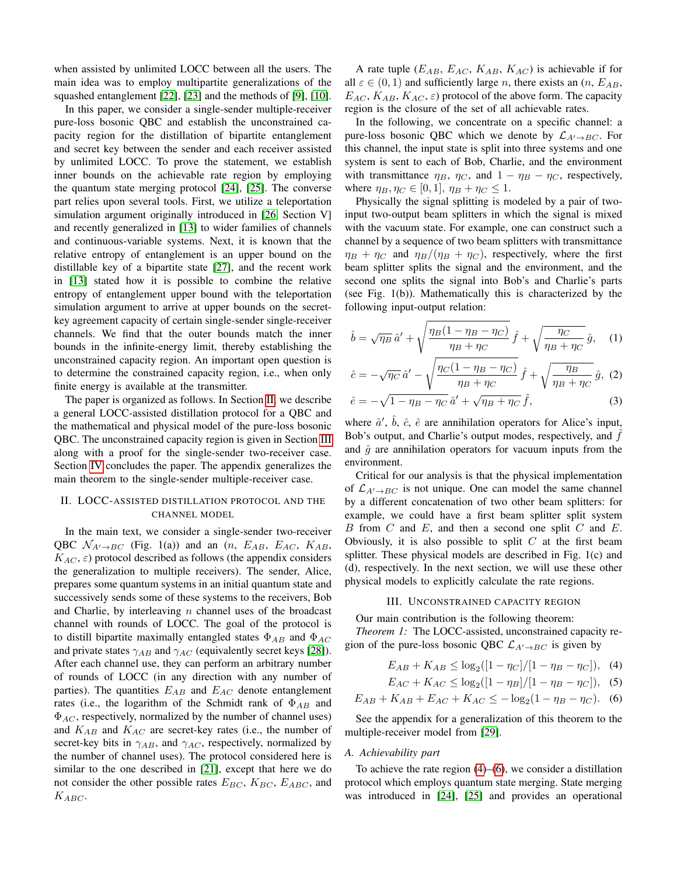when assisted by unlimited LOCC between all the users. The main idea was to employ multipartite generalizations of the squashed entanglement [\[22\]](#page-5-21), [\[23\]](#page-5-22) and the methods of [\[9\]](#page-5-8), [\[10\]](#page-5-9).

In this paper, we consider a single-sender multiple-receiver pure-loss bosonic QBC and establish the unconstrained capacity region for the distillation of bipartite entanglement and secret key between the sender and each receiver assisted by unlimited LOCC. To prove the statement, we establish inner bounds on the achievable rate region by employing the quantum state merging protocol [\[24\]](#page-5-23), [\[25\]](#page-5-24). The converse part relies upon several tools. First, we utilize a teleportation simulation argument originally introduced in [\[26,](#page-5-25) Section V] and recently generalized in [\[13\]](#page-5-12) to wider families of channels and continuous-variable systems. Next, it is known that the relative entropy of entanglement is an upper bound on the distillable key of a bipartite state [\[27\]](#page-5-26), and the recent work in [\[13\]](#page-5-12) stated how it is possible to combine the relative entropy of entanglement upper bound with the teleportation simulation argument to arrive at upper bounds on the secretkey agreement capacity of certain single-sender single-receiver channels. We find that the outer bounds match the inner bounds in the infinite-energy limit, thereby establishing the unconstrained capacity region. An important open question is to determine the constrained capacity region, i.e., when only finite energy is available at the transmitter.

The paper is organized as follows. In Section [II,](#page-2-0) we describe a general LOCC-assisted distillation protocol for a QBC and the mathematical and physical model of the pure-loss bosonic QBC. The unconstrained capacity region is given in Section [III](#page-2-1) along with a proof for the single-sender two-receiver case. Section [IV](#page-5-27) concludes the paper. The appendix generalizes the main theorem to the single-sender multiple-receiver case.

#### <span id="page-2-0"></span>II. LOCC-ASSISTED DISTILLATION PROTOCOL AND THE CHANNEL MODEL

In the main text, we consider a single-sender two-receiver QBC  $\mathcal{N}_{A'\rightarrow BC}$  (Fig. 1(a)) and an  $(n, E_{AB}, E_{AC}, K_{AB},$  $K_{AC}$ ,  $\varepsilon$ ) protocol described as follows (the appendix considers the generalization to multiple receivers). The sender, Alice, prepares some quantum systems in an initial quantum state and successively sends some of these systems to the receivers, Bob and Charlie, by interleaving  $n$  channel uses of the broadcast channel with rounds of LOCC. The goal of the protocol is to distill bipartite maximally entangled states  $\Phi_{AB}$  and  $\Phi_{AC}$ and private states  $\gamma_{AB}$  and  $\gamma_{AC}$  (equivalently secret keys [\[28\]](#page-5-28)). After each channel use, they can perform an arbitrary number of rounds of LOCC (in any direction with any number of parties). The quantities  $E_{AB}$  and  $E_{AC}$  denote entanglement rates (i.e., the logarithm of the Schmidt rank of  $\Phi_{AB}$  and  $\Phi_{AC}$ , respectively, normalized by the number of channel uses) and  $K_{AB}$  and  $K_{AC}$  are secret-key rates (i.e., the number of secret-key bits in  $\gamma_{AB}$ , and  $\gamma_{AC}$ , respectively, normalized by the number of channel uses). The protocol considered here is similar to the one described in [\[21\]](#page-5-20), except that here we do not consider the other possible rates  $E_{BC}$ ,  $K_{BC}$ ,  $E_{ABC}$ , and  $K_{ABC}$ .

A rate tuple  $(E_{AB}, E_{AC}, K_{AB}, K_{AC})$  is achievable if for all  $\varepsilon \in (0, 1)$  and sufficiently large *n*, there exists an  $(n, E_{AB},$  $E_{AC}$ ,  $K_{AB}$ ,  $K_{AC}$ ,  $\varepsilon$ ) protocol of the above form. The capacity region is the closure of the set of all achievable rates.

In the following, we concentrate on a specific channel: a pure-loss bosonic QBC which we denote by  $\mathcal{L}_{A\rightarrow BC}$ . For this channel, the input state is split into three systems and one system is sent to each of Bob, Charlie, and the environment with transmittance  $\eta_B$ ,  $\eta_C$ , and  $1 - \eta_B - \eta_C$ , respectively, where  $\eta_B, \eta_C \in [0, 1], \eta_B + \eta_C \leq 1.$ 

Physically the signal splitting is modeled by a pair of twoinput two-output beam splitters in which the signal is mixed with the vacuum state. For example, one can construct such a channel by a sequence of two beam splitters with transmittance  $\eta_B + \eta_C$  and  $\eta_B/(\eta_B + \eta_C)$ , respectively, where the first beam splitter splits the signal and the environment, and the second one splits the signal into Bob's and Charlie's parts (see Fig. 1(b)). Mathematically this is characterized by the following input-output relation:

$$
\hat{b} = \sqrt{\eta_B} \,\hat{a}' + \sqrt{\frac{\eta_B (1 - \eta_B - \eta_C)}{\eta_B + \eta_C}} \,\hat{f} + \sqrt{\frac{\eta_C}{\eta_B + \eta_C}} \,\hat{g},\quad (1)
$$

$$
\hat{c} = -\sqrt{\eta_C} \,\hat{a}' - \sqrt{\frac{\eta_C (1 - \eta_B - \eta_C)}{\eta_B + \eta_C}} \,\hat{f} + \sqrt{\frac{\eta_B}{\eta_B + \eta_C}} \,\hat{g}, \tag{2}
$$

$$
\hat{e} = -\sqrt{1 - \eta_B - \eta_C} \,\hat{a}' + \sqrt{\eta_B + \eta_C} \,\hat{f},\tag{3}
$$

where  $\hat{a}'$ ,  $\hat{b}$ ,  $\hat{c}$ ,  $\hat{e}$  are annihilation operators for Alice's input, Bob's output, and Charlie's output modes, respectively, and  $\hat{f}$ and  $\hat{q}$  are annihilation operators for vacuum inputs from the environment.

Critical for our analysis is that the physical implementation of  $\mathcal{L}_{A'\to BC}$  is not unique. One can model the same channel by a different concatenation of two other beam splitters: for example, we could have a first beam splitter split system  $B$  from  $C$  and  $E$ , and then a second one split  $C$  and  $E$ . Obviously, it is also possible to split  $C$  at the first beam splitter. These physical models are described in Fig. 1(c) and (d), respectively. In the next section, we will use these other physical models to explicitly calculate the rate regions.

#### <span id="page-2-4"></span>III. UNCONSTRAINED CAPACITY REGION

<span id="page-2-1"></span>Our main contribution is the following theorem:

*Theorem 1:* The LOCC-assisted, unconstrained capacity region of the pure-loss bosonic QBC  $\mathcal{L}_{A'\to BC}$  is given by

<span id="page-2-2"></span>
$$
E_{AB} + K_{AB} \le \log_2([1 - \eta_C]/[1 - \eta_B - \eta_C]), \quad (4)
$$

<span id="page-2-3"></span>
$$
E_{AC} + K_{AC} \le \log_2([1 - \eta_B]/[1 - \eta_B - \eta_C]), \quad (5)
$$

$$
E_{AB} + K_{AB} + E_{AC} + K_{AC} \le -\log_2(1 - \eta_B - \eta_C). \tag{6}
$$

See the appendix for a generalization of this theorem to the multiple-receiver model from [\[29\]](#page-5-29).

#### *A. Achievability part*

To achieve the rate region  $(4)$ – $(6)$ , we consider a distillation protocol which employs quantum state merging. State merging was introduced in [\[24\]](#page-5-23), [\[25\]](#page-5-24) and provides an operational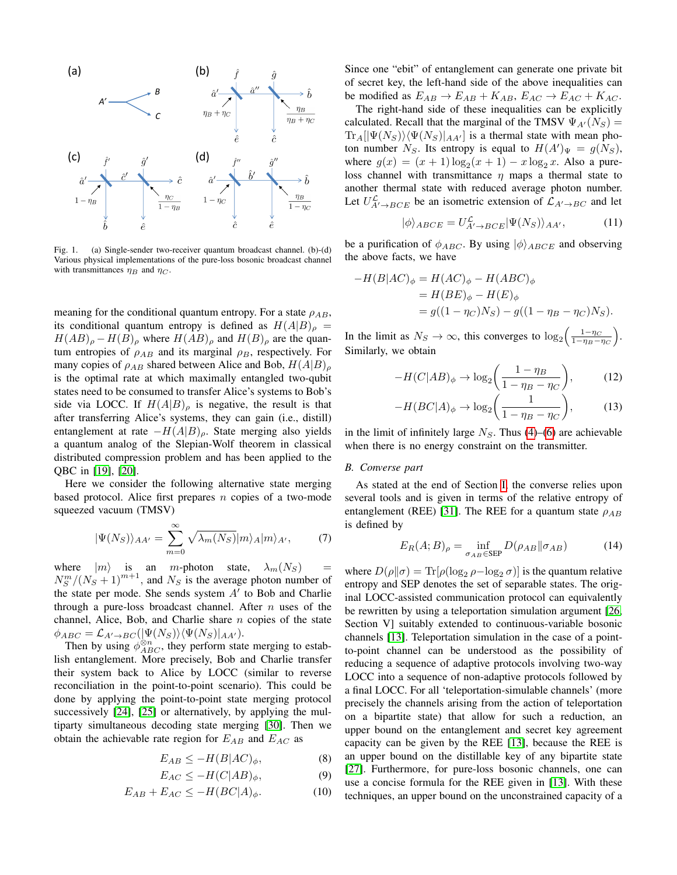

Fig. 1. (a) Single-sender two-receiver quantum broadcast channel. (b)-(d) Various physical implementations of the pure-loss bosonic broadcast channel with transmittances  $\eta_B$  and  $\eta_C$ .

meaning for the conditional quantum entropy. For a state  $\rho_{AB}$ , its conditional quantum entropy is defined as  $H(A|B)_{\rho}$  =  $H(AB)_{\rho} - H(B)_{\rho}$  where  $H(AB)_{\rho}$  and  $H(B)_{\rho}$  are the quantum entropies of  $\rho_{AB}$  and its marginal  $\rho_B$ , respectively. For many copies of  $\rho_{AB}$  shared between Alice and Bob,  $H(A|B)$ <sub>ρ</sub> is the optimal rate at which maximally entangled two-qubit states need to be consumed to transfer Alice's systems to Bob's side via LOCC. If  $H(A|B)$ <sub>ρ</sub> is negative, the result is that after transferring Alice's systems, they can gain (i.e., distill) entanglement at rate  $-H(A|B)_{\rho}$ . State merging also yields a quantum analog of the Slepian-Wolf theorem in classical distributed compression problem and has been applied to the QBC in [\[19\]](#page-5-18), [\[20\]](#page-5-19).

Here we consider the following alternative state merging based protocol. Alice first prepares  $n$  copies of a two-mode squeezed vacuum (TMSV)

$$
|\Psi(N_S)\rangle_{AA'} = \sum_{m=0}^{\infty} \sqrt{\lambda_m(N_S)} |m\rangle_A |m\rangle_{A'}, \tag{7}
$$

where  $|m\rangle$  is an m-photon state,  $\lambda_m(N_S)$  $N_S^m/(N_S+1)^{m+1}$ , and  $N_S$  is the average photon number of the state per mode. She sends system  $A'$  to Bob and Charlie through a pure-loss broadcast channel. After  $n$  uses of the channel, Alice, Bob, and Charlie share  $n$  copies of the state  $\phi_{ABC} = \mathcal{L}_{A'\to BC}(|\Psi(N_S)\rangle\langle\Psi(N_S)|_{AA'}).$ 

Then by using  $\phi_{ABC}^{\otimes n}$ , they perform state merging to establish entanglement. More precisely, Bob and Charlie transfer their system back to Alice by LOCC (similar to reverse reconciliation in the point-to-point scenario). This could be done by applying the point-to-point state merging protocol successively [\[24\]](#page-5-23), [\[25\]](#page-5-24) or alternatively, by applying the multiparty simultaneous decoding state merging [\[30\]](#page-5-30). Then we obtain the achievable rate region for  $E_{AB}$  and  $E_{AC}$  as

$$
E_{AB} \le -H(B|AC)_{\phi},\tag{8}
$$

$$
E_{AC} \le -H(C|AB)_{\phi},\tag{9}
$$

$$
E_{AB} + E_{AC} \le -H(BC|A)_{\phi}.\tag{10}
$$

Since one "ebit" of entanglement can generate one private bit of secret key, the left-hand side of the above inequalities can be modified as  $E_{AB} \rightarrow E_{AB} + K_{AB}$ ,  $E_{AC} \rightarrow E_{AC} + K_{AC}$ .

The right-hand side of these inequalities can be explicitly calculated. Recall that the marginal of the TMSV  $\Psi_{A}(N_S) =$  $\text{Tr}_A[|\Psi(N_S)\rangle\langle\Psi(N_S)|_{AA'}]$  is a thermal state with mean photon number  $N_S$ . Its entropy is equal to  $H(A')_{\Psi} = g(N_S)$ , where  $g(x) = (x + 1) \log_2(x + 1) - x \log_2 x$ . Also a pureloss channel with transmittance  $\eta$  maps a thermal state to another thermal state with reduced average photon number. Let  $U_{A'\rightarrow BCE}^{\mathcal{L}}$  be an isometric extension of  $\mathcal{L}_{A'\rightarrow BC}$  and let

$$
|\phi\rangle_{ABCE} = U_{A'\to BCE}^{\mathcal{L}} |\Psi(N_S)\rangle_{AA'}, \tag{11}
$$

be a purification of  $\phi_{ABC}$ . By using  $|\phi\rangle_{ABCDE}$  and observing the above facts, we have

$$
-H(B|AC)_{\phi} = H(AC)_{\phi} - H(ABC)_{\phi}
$$
  
= 
$$
H(BE)_{\phi} - H(E)_{\phi}
$$
  
= 
$$
g((1 - \eta_C)N_S) - g((1 - \eta_B - \eta_C)N_S).
$$

In the limit as  $N_S \to \infty$ , this converges to  $\log_2\left(\frac{1-\eta_C}{1-\eta_B-\eta_C}\right)$ . Similarly, we obtain

$$
-H(C|AB)_{\phi} \to \log_2\left(\frac{1-\eta_B}{1-\eta_B-\eta_C}\right),\tag{12}
$$

$$
-H(BC|A)_{\phi} \to \log_2\bigg(\frac{1}{1-\eta_B-\eta_C}\bigg),\tag{13}
$$

in the limit of infinitely large  $N<sub>S</sub>$ . Thus [\(4\)](#page-2-2)–[\(6\)](#page-2-3) are achievable when there is no energy constraint on the transmitter.

#### *B. Converse part*

As stated at the end of Section [I,](#page-1-0) the converse relies upon several tools and is given in terms of the relative entropy of entanglement (REE) [\[31\]](#page-5-31). The REE for a quantum state  $\rho_{AB}$ is defined by

$$
E_R(A;B)_{\rho} = \inf_{\sigma_{AB} \in \text{SEP}} D(\rho_{AB} || \sigma_{AB}) \tag{14}
$$

where  $D(\rho||\sigma) = \text{Tr}[\rho(\log_2 \rho - \log_2 \sigma)]$  is the quantum relative entropy and SEP denotes the set of separable states. The original LOCC-assisted communication protocol can equivalently be rewritten by using a teleportation simulation argument [\[26,](#page-5-25) Section V] suitably extended to continuous-variable bosonic channels [\[13\]](#page-5-12). Teleportation simulation in the case of a pointto-point channel can be understood as the possibility of reducing a sequence of adaptive protocols involving two-way LOCC into a sequence of non-adaptive protocols followed by a final LOCC. For all 'teleportation-simulable channels' (more precisely the channels arising from the action of teleportation on a bipartite state) that allow for such a reduction, an upper bound on the entanglement and secret key agreement capacity can be given by the REE [\[13\]](#page-5-12), because the REE is an upper bound on the distillable key of any bipartite state [\[27\]](#page-5-26). Furthermore, for pure-loss bosonic channels, one can use a concise formula for the REE given in [\[13\]](#page-5-12). With these techniques, an upper bound on the unconstrained capacity of a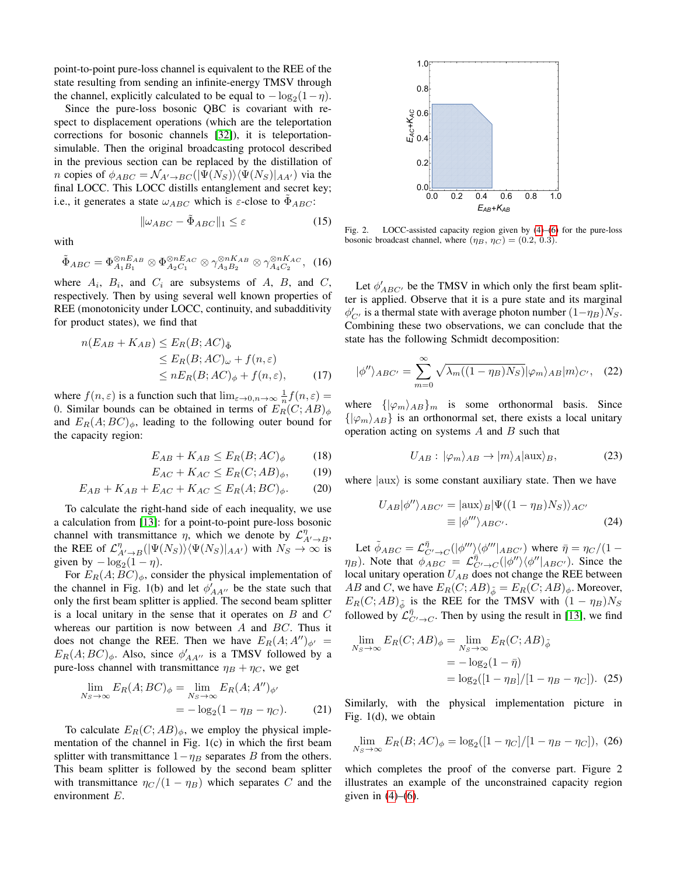point-to-point pure-loss channel is equivalent to the REE of the state resulting from sending an infinite-energy TMSV through the channel, explicitly calculated to be equal to  $-\log_2(1-\eta)$ .

Since the pure-loss bosonic QBC is covariant with respect to displacement operations (which are the teleportation corrections for bosonic channels [\[32\]](#page-5-32)), it is teleportationsimulable. Then the original broadcasting protocol described in the previous section can be replaced by the distillation of *n* copies of  $\phi_{ABC} = \mathcal{N}_{A'\to BC}(|\Psi(N_S)\rangle \langle \Psi(N_S)|_{AA'} )$  via the final LOCC. This LOCC distills entanglement and secret key; i.e., it generates a state  $\omega_{ABC}$  which is  $\varepsilon$ -close to  $\Phi_{ABC}$ :

with

$$
\tilde{\Phi}_{ABC} = \Phi_{A_1B_1}^{\otimes nE_{AB}} \otimes \Phi_{A_2C_1}^{\otimes nE_{AC}} \otimes \gamma_{A_3B_2}^{\otimes nK_{AB}} \otimes \gamma_{A_4C_2}^{\otimes nK_{AC}}, \tag{16}
$$

 $\|\omega_{ABC} - \tilde{\Phi}_{ABC}\|_1 \leq \varepsilon$  (15)

where  $A_i$ ,  $B_i$ , and  $C_i$  are subsystems of  $A$ ,  $B$ , and  $C$ , respectively. Then by using several well known properties of REE (monotonicity under LOCC, continuity, and subadditivity for product states), we find that

$$
n(E_{AB} + K_{AB}) \le E_R(B; AC)_{\tilde{\Phi}}
$$
  
\n
$$
\le E_R(B; AC)_{\omega} + f(n, \varepsilon)
$$
  
\n
$$
\le nE_R(B; AC)_{\phi} + f(n, \varepsilon),
$$
\n(17)

where  $f(n, \varepsilon)$  is a function such that  $\lim_{\varepsilon \to 0, n \to \infty} \frac{1}{n} f(n, \varepsilon) =$ 0. Similar bounds can be obtained in terms of  $E_R(C; AB)_{\phi}$ and  $E_R(A; BC)_{\phi}$ , leading to the following outer bound for the capacity region:

$$
E_{AB} + K_{AB} \le E_R(B; AC)_{\phi} \tag{18}
$$

$$
E_{AC} + K_{AC} \le E_R(C; AB)_{\phi}, \qquad (19)
$$

$$
E_{AB} + K_{AB} + E_{AC} + K_{AC} \le E_R(A; BC)_{\phi}.
$$
 (20)

To calculate the right-hand side of each inequality, we use a calculation from [\[13\]](#page-5-12): for a point-to-point pure-loss bosonic channel with transmittance  $\eta$ , which we denote by  $\mathcal{L}_{A/\to B}^{\eta}$ , the REE of  $\mathcal{L}_{A'\to B}^{\eta}(|\Psi(N_S)\rangle \langle \Psi(N_S)|_{AA'} )$  with  $N_S \to \infty$  is given by  $-\log_2(1-\eta)$ .

For  $E_R(A; BC)_{\phi}$ , consider the physical implementation of the channel in Fig. 1(b) and let  $\phi'_{AA}$ , be the state such that only the first beam splitter is applied. The second beam splitter is a local unitary in the sense that it operates on  $B$  and  $C$ whereas our partition is now between  $A$  and  $BC$ . Thus it does not change the REE. Then we have  $E_R(A;A'')_{\phi'} =$  $E_R(A; BC)_{\phi}$ . Also, since  $\phi'_{AA}$  is a TMSV followed by a pure-loss channel with transmittance  $\eta_B + \eta_C$ , we get

$$
\lim_{N_S \to \infty} E_R(A; BC)_{\phi} = \lim_{N_S \to \infty} E_R(A; A'')_{\phi'}
$$

$$
= -\log_2(1 - \eta_B - \eta_C). \tag{21}
$$

To calculate  $E_R(C; AB)_{\phi}$ , we employ the physical implementation of the channel in Fig. 1(c) in which the first beam splitter with transmittance  $1-\eta_B$  separates B from the others. This beam splitter is followed by the second beam splitter with transmittance  $\eta_C/(1 - \eta_B)$  which separates C and the environment E.



Fig. 2. LOCC-assisted capacity region given by [\(4\)](#page-2-2)–[\(6\)](#page-2-3) for the pure-loss bosonic broadcast channel, where  $(\eta_B, \eta_C) = (0.2, 0.3)$ .

Let  $\phi'_{ABC}$  be the TMSV in which only the first beam splitter is applied. Observe that it is a pure state and its marginal  $\phi'_{C'}$  is a thermal state with average photon number  $(1-\eta_B)N_S$ . Combining these two observations, we can conclude that the state has the following Schmidt decomposition:

$$
|\phi''\rangle_{ABC'} = \sum_{m=0}^{\infty} \sqrt{\lambda_m((1-\eta_B)N_S)} |\varphi_m\rangle_{AB} |m\rangle_{C'}, \quad (22)
$$

where  $\{|\varphi_m\rangle_{AB}\}_m$  is some orthonormal basis. Since  $\{|\varphi_m\rangle_{AB}\}$  is an orthonormal set, there exists a local unitary operation acting on systems  $A$  and  $B$  such that

$$
U_{AB}: |\varphi_m\rangle_{AB} \to |m\rangle_A |\text{aux}\rangle_B, \tag{23}
$$

where  $|aux\rangle$  is some constant auxiliary state. Then we have

$$
U_{AB}|\phi''\rangle_{ABC'} = |\text{aux}\rangle_B|\Psi((1-\eta_B)N_S)\rangle_{AC'}
$$
  

$$
\equiv |\phi'''\rangle_{ABC'}.
$$
 (24)

Let  $\tilde{\phi}_{ABC} = \mathcal{L}_{C'\to C}^{\bar{\eta}}(|\phi'''\rangle\langle\phi'''|_{ABC'})$  where  $\bar{\eta} = \eta_C/(1-\eta_C)$  $(\eta_B)$ . Note that  $\phi_{ABC} = \mathcal{L}_{C'\to C}^{\overline{\eta}}(|\phi''\rangle \langle \phi''|_{ABC'})$ . Since the local unitary operation  $U_{AB}$  does not change the REE between *AB* and *C*, we have  $E_R(C; AB)_{\tilde{\phi}} = E_R(C; AB)_{\phi}$ . Moreover,  $E_R(C; AB)_{\tilde{\phi}}$  is the REE for the TMSV with  $(1 - \eta_B)N_S$ followed by  $\mathcal{L}_{C' \to C}^{\bar{\eta}}$ . Then by using the result in [\[13\]](#page-5-12), we find

$$
\lim_{N_S \to \infty} E_R(C; AB)_{\phi} = \lim_{N_S \to \infty} E_R(C; AB)_{\tilde{\phi}}
$$
  
=  $-\log_2(1 - \bar{\eta})$   
=  $\log_2([1 - \eta_B]/[1 - \eta_B - \eta_C]).$  (25)

Similarly, with the physical implementation picture in Fig. 1(d), we obtain

$$
\lim_{N_S \to \infty} E_R(B; AC)_{\phi} = \log_2([1 - \eta_C]/[1 - \eta_B - \eta_C]), (26)
$$

which completes the proof of the converse part. Figure 2 illustrates an example of the unconstrained capacity region given in  $(4)$ – $(6)$ .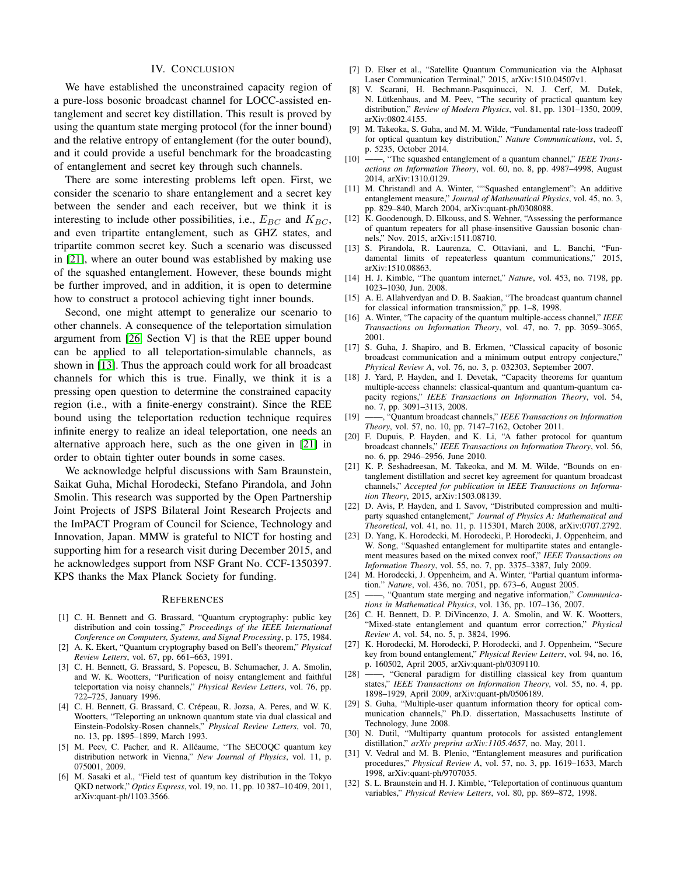#### IV. CONCLUSION

<span id="page-5-27"></span>We have established the unconstrained capacity region of a pure-loss bosonic broadcast channel for LOCC-assisted entanglement and secret key distillation. This result is proved by using the quantum state merging protocol (for the inner bound) and the relative entropy of entanglement (for the outer bound), and it could provide a useful benchmark for the broadcasting of entanglement and secret key through such channels.

There are some interesting problems left open. First, we consider the scenario to share entanglement and a secret key between the sender and each receiver, but we think it is interesting to include other possibilities, i.e.,  $E_{BC}$  and  $K_{BC}$ , and even tripartite entanglement, such as GHZ states, and tripartite common secret key. Such a scenario was discussed in [\[21\]](#page-5-20), where an outer bound was established by making use of the squashed entanglement. However, these bounds might be further improved, and in addition, it is open to determine how to construct a protocol achieving tight inner bounds.

Second, one might attempt to generalize our scenario to other channels. A consequence of the teleportation simulation argument from [\[26,](#page-5-25) Section V] is that the REE upper bound can be applied to all teleportation-simulable channels, as shown in [\[13\]](#page-5-12). Thus the approach could work for all broadcast channels for which this is true. Finally, we think it is a pressing open question to determine the constrained capacity region (i.e., with a finite-energy constraint). Since the REE bound using the teleportation reduction technique requires infinite energy to realize an ideal teleportation, one needs an alternative approach here, such as the one given in [\[21\]](#page-5-20) in order to obtain tighter outer bounds in some cases.

We acknowledge helpful discussions with Sam Braunstein, Saikat Guha, Michal Horodecki, Stefano Pirandola, and John Smolin. This research was supported by the Open Partnership Joint Projects of JSPS Bilateral Joint Research Projects and the ImPACT Program of Council for Science, Technology and Innovation, Japan. MMW is grateful to NICT for hosting and supporting him for a research visit during December 2015, and he acknowledges support from NSF Grant No. CCF-1350397. KPS thanks the Max Planck Society for funding.

#### **REFERENCES**

- <span id="page-5-0"></span>[1] C. H. Bennett and G. Brassard, "Quantum cryptography: public key distribution and coin tossing," *Proceedings of the IEEE International Conference on Computers, Systems, and Signal Processing*, p. 175, 1984.
- <span id="page-5-1"></span>[2] A. K. Ekert, "Quantum cryptography based on Bell's theorem," *Physical Review Letters*, vol. 67, pp. 661–663, 1991.
- <span id="page-5-2"></span>[3] C. H. Bennett, G. Brassard, S. Popescu, B. Schumacher, J. A. Smolin, and W. K. Wootters, "Purification of noisy entanglement and faithful teleportation via noisy channels," *Physical Review Letters*, vol. 76, pp. 722–725, January 1996.
- <span id="page-5-3"></span>[4] C. H. Bennett, G. Brassard, C. Crépeau, R. Jozsa, A. Peres, and W. K. Wootters, "Teleporting an unknown quantum state via dual classical and Einstein-Podolsky-Rosen channels," *Physical Review Letters*, vol. 70, no. 13, pp. 1895–1899, March 1993.
- <span id="page-5-4"></span>[5] M. Peev, C. Pacher, and R. Alléaume, "The SECOQC quantum key distribution network in Vienna," *New Journal of Physics*, vol. 11, p. 075001, 2009.
- <span id="page-5-5"></span>[6] M. Sasaki et al., "Field test of quantum key distribution in the Tokyo QKD network," *Optics Express*, vol. 19, no. 11, pp. 10 387–10 409, 2011, arXiv:quant-ph/1103.3566.
- <span id="page-5-6"></span>[7] D. Elser et al., "Satellite Quantum Communication via the Alphasat Laser Communication Terminal," 2015, arXiv:1510.04507v1.
- <span id="page-5-7"></span>[8] V. Scarani, H. Bechmann-Pasquinucci, N. J. Cerf, M. Dušek, N. Lütkenhaus, and M. Peev, "The security of practical quantum key distribution," *Review of Modern Physics*, vol. 81, pp. 1301–1350, 2009, arXiv:0802.4155.
- <span id="page-5-8"></span>[9] M. Takeoka, S. Guha, and M. M. Wilde, "Fundamental rate-loss tradeoff for optical quantum key distribution," *Nature Communications*, vol. 5, p. 5235, October 2014.
- <span id="page-5-9"></span>[10] ——, "The squashed entanglement of a quantum channel," *IEEE Transactions on Information Theory*, vol. 60, no. 8, pp. 4987–4998, August 2014, arXiv:1310.0129.
- <span id="page-5-10"></span>[11] M. Christandl and A. Winter, ""Squashed entanglement": An additive entanglement measure," *Journal of Mathematical Physics*, vol. 45, no. 3, pp. 829–840, March 2004, arXiv:quant-ph/0308088.
- <span id="page-5-11"></span>[12] K. Goodenough, D. Elkouss, and S. Wehner, "Assessing the performance of quantum repeaters for all phase-insensitive Gaussian bosonic channels," Nov. 2015, arXiv:1511.08710.
- <span id="page-5-12"></span>[13] S. Pirandola, R. Laurenza, C. Ottaviani, and L. Banchi, "Fundamental limits of repeaterless quantum communications," 2015, arXiv:1510.08863.
- <span id="page-5-13"></span>[14] H. J. Kimble, "The quantum internet," *Nature*, vol. 453, no. 7198, pp. 1023–1030, Jun. 2008.
- <span id="page-5-14"></span>[15] A. E. Allahverdyan and D. B. Saakian, "The broadcast quantum channel for classical information transmission," pp. 1–8, 1998.
- <span id="page-5-15"></span>[16] A. Winter, "The capacity of the quantum multiple-access channel," *IEEE Transactions on Information Theory*, vol. 47, no. 7, pp. 3059–3065, 2001.
- <span id="page-5-16"></span>[17] S. Guha, J. Shapiro, and B. Erkmen, "Classical capacity of bosonic broadcast communication and a minimum output entropy conjecture," *Physical Review A*, vol. 76, no. 3, p. 032303, September 2007.
- <span id="page-5-17"></span>[18] J. Yard, P. Hayden, and I. Devetak, "Capacity theorems for quantum multiple-access channels: classical-quantum and quantum-quantum capacity regions," *IEEE Transactions on Information Theory*, vol. 54, no. 7, pp. 3091–3113, 2008.
- <span id="page-5-18"></span>[19] ——, "Quantum broadcast channels," *IEEE Transactions on Information Theory*, vol. 57, no. 10, pp. 7147–7162, October 2011.
- <span id="page-5-19"></span>[20] F. Dupuis, P. Hayden, and K. Li, "A father protocol for quantum broadcast channels," *IEEE Transactions on Information Theory*, vol. 56, no. 6, pp. 2946–2956, June 2010.
- <span id="page-5-20"></span>[21] K. P. Seshadreesan, M. Takeoka, and M. M. Wilde, "Bounds on entanglement distillation and secret key agreement for quantum broadcast channels," *Accepted for publication in IEEE Transactions on Information Theory*, 2015, arXiv:1503.08139.
- <span id="page-5-21"></span>[22] D. Avis, P. Hayden, and I. Savov, "Distributed compression and multiparty squashed entanglement," *Journal of Physics A: Mathematical and Theoretical*, vol. 41, no. 11, p. 115301, March 2008, arXiv:0707.2792.
- <span id="page-5-22"></span>[23] D. Yang, K. Horodecki, M. Horodecki, P. Horodecki, J. Oppenheim, and W. Song, "Squashed entanglement for multipartite states and entanglement measures based on the mixed convex roof," *IEEE Transactions on Information Theory*, vol. 55, no. 7, pp. 3375–3387, July 2009.
- <span id="page-5-23"></span>[24] M. Horodecki, J. Oppenheim, and A. Winter, "Partial quantum information." *Nature*, vol. 436, no. 7051, pp. 673–6, August 2005.
- <span id="page-5-24"></span>[25] ——, "Quantum state merging and negative information," *Communications in Mathematical Physics*, vol. 136, pp. 107–136, 2007.
- <span id="page-5-25"></span>[26] C. H. Bennett, D. P. DiVincenzo, J. A. Smolin, and W. K. Wootters, "Mixed-state entanglement and quantum error correction," *Physical Review A*, vol. 54, no. 5, p. 3824, 1996.
- <span id="page-5-26"></span>[27] K. Horodecki, M. Horodecki, P. Horodecki, and J. Oppenheim, "Secure key from bound entanglement," *Physical Review Letters*, vol. 94, no. 16, p. 160502, April 2005, arXiv:quant-ph/0309110.
- <span id="page-5-28"></span>[28] ——, "General paradigm for distilling classical key from quantum states," *IEEE Transactions on Information Theory*, vol. 55, no. 4, pp. 1898–1929, April 2009, arXiv:quant-ph/0506189.
- <span id="page-5-29"></span>[29] S. Guha, "Multiple-user quantum information theory for optical communication channels," Ph.D. dissertation, Massachusetts Institute of Technology, June 2008.
- <span id="page-5-30"></span>[30] N. Dutil, "Multiparty quantum protocols for assisted entanglement distillation," *arXiv preprint arXiv:1105.4657*, no. May, 2011.
- <span id="page-5-31"></span>[31] V. Vedral and M. B. Plenio, "Entanglement measures and purification procedures," *Physical Review A*, vol. 57, no. 3, pp. 1619–1633, March 1998, arXiv:quant-ph/9707035.
- <span id="page-5-32"></span>[32] S. L. Braunstein and H. J. Kimble, "Teleportation of continuous quantum variables," *Physical Review Letters*, vol. 80, pp. 869–872, 1998.